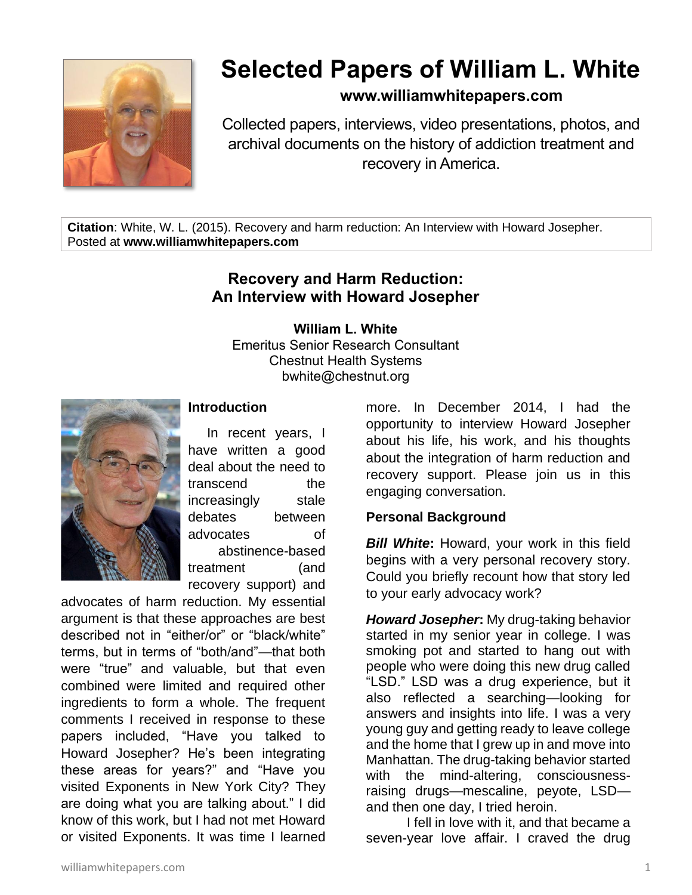

# **Selected Papers of William L. White**

# **www.williamwhitepapers.com**

Collected papers, interviews, video presentations, photos, and archival documents on the history of addiction treatment and recovery in America.

**Citation**: White, W. L. (2015). Recovery and harm reduction: An Interview with Howard Josepher. Posted at **www.williamwhitepapers.com**

# **Recovery and Harm Reduction: An Interview with Howard Josepher**

**William L. White** Emeritus Senior Research Consultant

Chestnut Health Systems bwhite@chestnut.org



**Introduction**

In recent years, I have written a good deal about the need to transcend the increasingly stale debates between advocates of abstinence-based treatment (and recovery support) and

advocates of harm reduction. My essential argument is that these approaches are best described not in "either/or" or "black/white" terms, but in terms of "both/and"—that both were "true" and valuable, but that even combined were limited and required other ingredients to form a whole. The frequent comments I received in response to these papers included, "Have you talked to Howard Josepher? He's been integrating these areas for years?" and "Have you visited Exponents in New York City? They are doing what you are talking about." I did know of this work, but I had not met Howard or visited Exponents. It was time I learned

more. In December 2014, I had the opportunity to interview Howard Josepher about his life, his work, and his thoughts about the integration of harm reduction and recovery support. Please join us in this engaging conversation.

## **Personal Background**

*Bill White***:** Howard, your work in this field begins with a very personal recovery story. Could you briefly recount how that story led to your early advocacy work?

*Howard Josepher***:** My drug-taking behavior started in my senior year in college. I was smoking pot and started to hang out with people who were doing this new drug called "LSD." LSD was a drug experience, but it also reflected a searching—looking for answers and insights into life. I was a very young guy and getting ready to leave college and the home that I grew up in and move into Manhattan. The drug-taking behavior started with the mind-altering, consciousnessraising drugs—mescaline, peyote, LSD and then one day, I tried heroin.

I fell in love with it, and that became a seven-year love affair. I craved the drug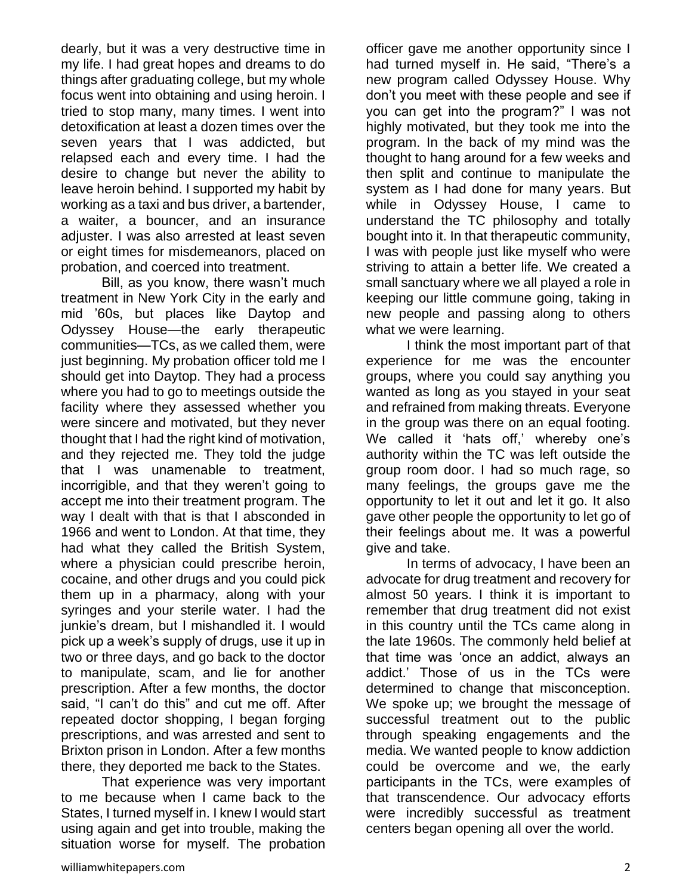dearly, but it was a very destructive time in my life. I had great hopes and dreams to do things after graduating college, but my whole focus went into obtaining and using heroin. I tried to stop many, many times. I went into detoxification at least a dozen times over the seven years that I was addicted, but relapsed each and every time. I had the desire to change but never the ability to leave heroin behind. I supported my habit by working as a taxi and bus driver, a bartender, a waiter, a bouncer, and an insurance adjuster. I was also arrested at least seven or eight times for misdemeanors, placed on probation, and coerced into treatment.

Bill, as you know, there wasn't much treatment in New York City in the early and mid '60s, but places like Daytop and Odyssey House—the early therapeutic communities—TCs, as we called them, were just beginning. My probation officer told me I should get into Daytop. They had a process where you had to go to meetings outside the facility where they assessed whether you were sincere and motivated, but they never thought that I had the right kind of motivation, and they rejected me. They told the judge that I was unamenable to treatment, incorrigible, and that they weren't going to accept me into their treatment program. The way I dealt with that is that I absconded in 1966 and went to London. At that time, they had what they called the British System, where a physician could prescribe heroin, cocaine, and other drugs and you could pick them up in a pharmacy, along with your syringes and your sterile water. I had the junkie's dream, but I mishandled it. I would pick up a week's supply of drugs, use it up in two or three days, and go back to the doctor to manipulate, scam, and lie for another prescription. After a few months, the doctor said, "I can't do this" and cut me off. After repeated doctor shopping, I began forging prescriptions, and was arrested and sent to Brixton prison in London. After a few months there, they deported me back to the States.

That experience was very important to me because when I came back to the States, I turned myself in. I knew I would start using again and get into trouble, making the situation worse for myself. The probation officer gave me another opportunity since I had turned myself in. He said, "There's a new program called Odyssey House. Why don't you meet with these people and see if you can get into the program?" I was not highly motivated, but they took me into the program. In the back of my mind was the thought to hang around for a few weeks and then split and continue to manipulate the system as I had done for many years. But while in Odyssey House, I came to understand the TC philosophy and totally bought into it. In that therapeutic community, I was with people just like myself who were striving to attain a better life. We created a small sanctuary where we all played a role in keeping our little commune going, taking in new people and passing along to others what we were learning.

I think the most important part of that experience for me was the encounter groups, where you could say anything you wanted as long as you stayed in your seat and refrained from making threats. Everyone in the group was there on an equal footing. We called it 'hats off,' whereby one's authority within the TC was left outside the group room door. I had so much rage, so many feelings, the groups gave me the opportunity to let it out and let it go. It also gave other people the opportunity to let go of their feelings about me. It was a powerful give and take.

In terms of advocacy, I have been an advocate for drug treatment and recovery for almost 50 years. I think it is important to remember that drug treatment did not exist in this country until the TCs came along in the late 1960s. The commonly held belief at that time was 'once an addict, always an addict.' Those of us in the TCs were determined to change that misconception. We spoke up; we brought the message of successful treatment out to the public through speaking engagements and the media. We wanted people to know addiction could be overcome and we, the early participants in the TCs, were examples of that transcendence. Our advocacy efforts were incredibly successful as treatment centers began opening all over the world.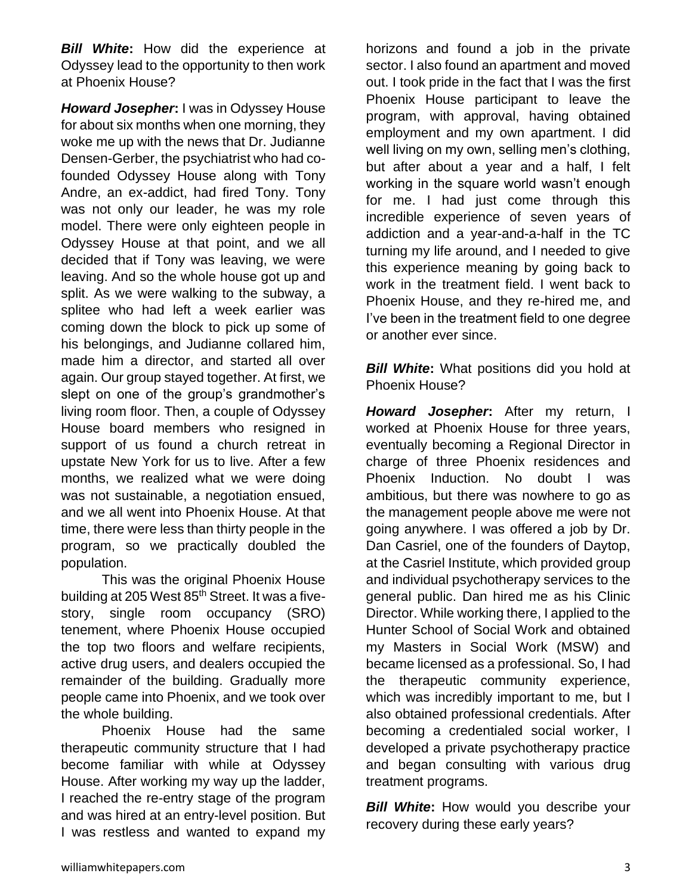*Bill White***:** How did the experience at Odyssey lead to the opportunity to then work at Phoenix House?

*Howard Josepher***:** I was in Odyssey House for about six months when one morning, they woke me up with the news that Dr. Judianne Densen-Gerber, the psychiatrist who had cofounded Odyssey House along with Tony Andre, an ex-addict, had fired Tony. Tony was not only our leader, he was my role model. There were only eighteen people in Odyssey House at that point, and we all decided that if Tony was leaving, we were leaving. And so the whole house got up and split. As we were walking to the subway, a splitee who had left a week earlier was coming down the block to pick up some of his belongings, and Judianne collared him, made him a director, and started all over again. Our group stayed together. At first, we slept on one of the group's grandmother's living room floor. Then, a couple of Odyssey House board members who resigned in support of us found a church retreat in upstate New York for us to live. After a few months, we realized what we were doing was not sustainable, a negotiation ensued, and we all went into Phoenix House. At that time, there were less than thirty people in the program, so we practically doubled the population.

This was the original Phoenix House building at 205 West 85<sup>th</sup> Street. It was a fivestory, single room occupancy (SRO) tenement, where Phoenix House occupied the top two floors and welfare recipients, active drug users, and dealers occupied the remainder of the building. Gradually more people came into Phoenix, and we took over the whole building.

Phoenix House had the same therapeutic community structure that I had become familiar with while at Odyssey House. After working my way up the ladder, I reached the re-entry stage of the program and was hired at an entry-level position. But I was restless and wanted to expand my horizons and found a job in the private sector. I also found an apartment and moved out. I took pride in the fact that I was the first Phoenix House participant to leave the program, with approval, having obtained employment and my own apartment. I did well living on my own, selling men's clothing, but after about a year and a half, I felt working in the square world wasn't enough for me. I had just come through this incredible experience of seven years of addiction and a year-and-a-half in the TC turning my life around, and I needed to give this experience meaning by going back to work in the treatment field. I went back to Phoenix House, and they re-hired me, and I've been in the treatment field to one degree or another ever since.

**Bill White:** What positions did you hold at Phoenix House?

*Howard Josepher***:** After my return, I worked at Phoenix House for three years, eventually becoming a Regional Director in charge of three Phoenix residences and Phoenix Induction. No doubt I was ambitious, but there was nowhere to go as the management people above me were not going anywhere. I was offered a job by Dr. Dan Casriel, one of the founders of Daytop, at the Casriel Institute, which provided group and individual psychotherapy services to the general public. Dan hired me as his Clinic Director. While working there, I applied to the Hunter School of Social Work and obtained my Masters in Social Work (MSW) and became licensed as a professional. So, I had the therapeutic community experience, which was incredibly important to me, but I also obtained professional credentials. After becoming a credentialed social worker, I developed a private psychotherapy practice and began consulting with various drug treatment programs.

**Bill White:** How would you describe your recovery during these early years?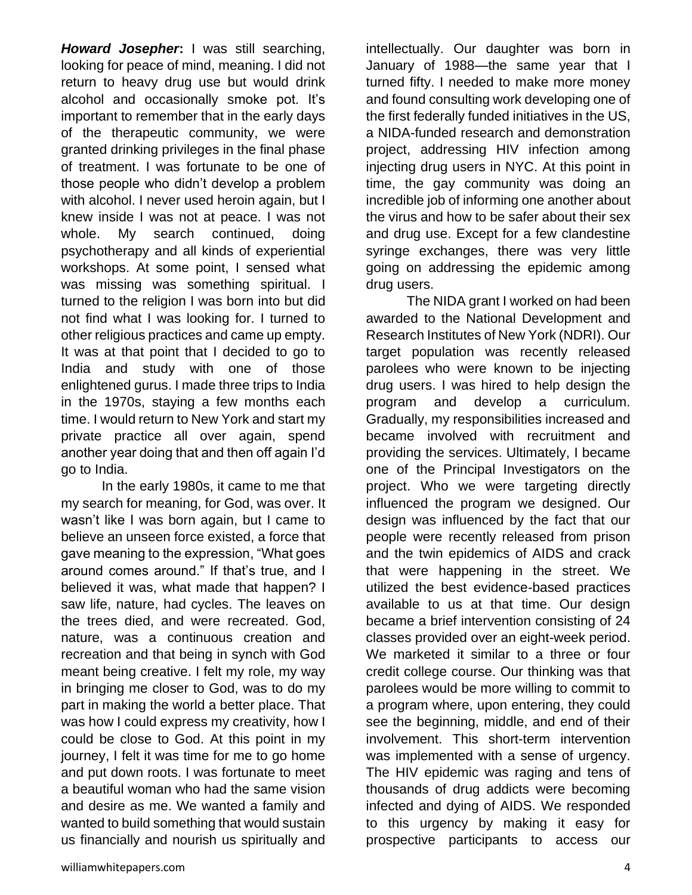*Howard Josepher***:** I was still searching, looking for peace of mind, meaning. I did not return to heavy drug use but would drink alcohol and occasionally smoke pot. It's important to remember that in the early days of the therapeutic community, we were granted drinking privileges in the final phase of treatment. I was fortunate to be one of those people who didn't develop a problem with alcohol. I never used heroin again, but I knew inside I was not at peace. I was not whole. My search continued, doing psychotherapy and all kinds of experiential workshops. At some point, I sensed what was missing was something spiritual. I turned to the religion I was born into but did not find what I was looking for. I turned to other religious practices and came up empty. It was at that point that I decided to go to India and study with one of those enlightened gurus. I made three trips to India in the 1970s, staying a few months each time. I would return to New York and start my private practice all over again, spend another year doing that and then off again I'd go to India.

In the early 1980s, it came to me that my search for meaning, for God, was over. It wasn't like I was born again, but I came to believe an unseen force existed, a force that gave meaning to the expression, "What goes around comes around." If that's true, and I believed it was, what made that happen? I saw life, nature, had cycles. The leaves on the trees died, and were recreated. God, nature, was a continuous creation and recreation and that being in synch with God meant being creative. I felt my role, my way in bringing me closer to God, was to do my part in making the world a better place. That was how I could express my creativity, how I could be close to God. At this point in my journey, I felt it was time for me to go home and put down roots. I was fortunate to meet a beautiful woman who had the same vision and desire as me. We wanted a family and wanted to build something that would sustain us financially and nourish us spiritually and intellectually. Our daughter was born in January of 1988—the same year that I turned fifty. I needed to make more money and found consulting work developing one of the first federally funded initiatives in the US, a NIDA-funded research and demonstration project, addressing HIV infection among injecting drug users in NYC. At this point in time, the gay community was doing an incredible job of informing one another about the virus and how to be safer about their sex and drug use. Except for a few clandestine syringe exchanges, there was very little going on addressing the epidemic among drug users.

The NIDA grant I worked on had been awarded to the National Development and Research Institutes of New York (NDRI). Our target population was recently released parolees who were known to be injecting drug users. I was hired to help design the program and develop a curriculum. Gradually, my responsibilities increased and became involved with recruitment and providing the services. Ultimately, I became one of the Principal Investigators on the project. Who we were targeting directly influenced the program we designed. Our design was influenced by the fact that our people were recently released from prison and the twin epidemics of AIDS and crack that were happening in the street. We utilized the best evidence-based practices available to us at that time. Our design became a brief intervention consisting of 24 classes provided over an eight-week period. We marketed it similar to a three or four credit college course. Our thinking was that parolees would be more willing to commit to a program where, upon entering, they could see the beginning, middle, and end of their involvement. This short-term intervention was implemented with a sense of urgency. The HIV epidemic was raging and tens of thousands of drug addicts were becoming infected and dying of AIDS. We responded to this urgency by making it easy for prospective participants to access our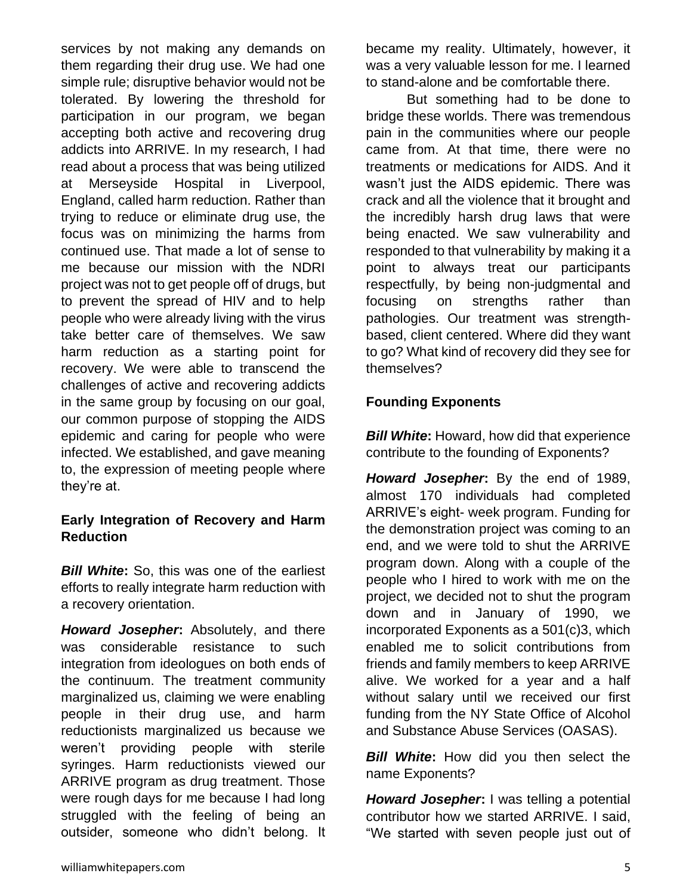services by not making any demands on them regarding their drug use. We had one simple rule; disruptive behavior would not be tolerated. By lowering the threshold for participation in our program, we began accepting both active and recovering drug addicts into ARRIVE. In my research, I had read about a process that was being utilized at Merseyside Hospital in Liverpool, England, called harm reduction. Rather than trying to reduce or eliminate drug use, the focus was on minimizing the harms from continued use. That made a lot of sense to me because our mission with the NDRI project was not to get people off of drugs, but to prevent the spread of HIV and to help people who were already living with the virus take better care of themselves. We saw harm reduction as a starting point for recovery. We were able to transcend the challenges of active and recovering addicts in the same group by focusing on our goal, our common purpose of stopping the AIDS epidemic and caring for people who were infected. We established, and gave meaning to, the expression of meeting people where they're at.

#### **Early Integration of Recovery and Harm Reduction**

*Bill White***:** So, this was one of the earliest efforts to really integrate harm reduction with a recovery orientation.

*Howard Josepher***:** Absolutely, and there was considerable resistance to such integration from ideologues on both ends of the continuum. The treatment community marginalized us, claiming we were enabling people in their drug use, and harm reductionists marginalized us because we weren't providing people with sterile syringes. Harm reductionists viewed our ARRIVE program as drug treatment. Those were rough days for me because I had long struggled with the feeling of being an outsider, someone who didn't belong. It became my reality. Ultimately, however, it was a very valuable lesson for me. I learned to stand-alone and be comfortable there.

But something had to be done to bridge these worlds. There was tremendous pain in the communities where our people came from. At that time, there were no treatments or medications for AIDS. And it wasn't just the AIDS epidemic. There was crack and all the violence that it brought and the incredibly harsh drug laws that were being enacted. We saw vulnerability and responded to that vulnerability by making it a point to always treat our participants respectfully, by being non-judgmental and focusing on strengths rather than pathologies. Our treatment was strengthbased, client centered. Where did they want to go? What kind of recovery did they see for themselves?

#### **Founding Exponents**

*Bill White***:** Howard, how did that experience contribute to the founding of Exponents?

*Howard Josepher***:** By the end of 1989, almost 170 individuals had completed ARRIVE's eight- week program. Funding for the demonstration project was coming to an end, and we were told to shut the ARRIVE program down. Along with a couple of the people who I hired to work with me on the project, we decided not to shut the program down and in January of 1990, we incorporated Exponents as a 501(c)3, which enabled me to solicit contributions from friends and family members to keep ARRIVE alive. We worked for a year and a half without salary until we received our first funding from the NY State Office of Alcohol and Substance Abuse Services (OASAS).

*Bill White*: How did you then select the name Exponents?

*Howard Josepher***:** I was telling a potential contributor how we started ARRIVE. I said, "We started with seven people just out of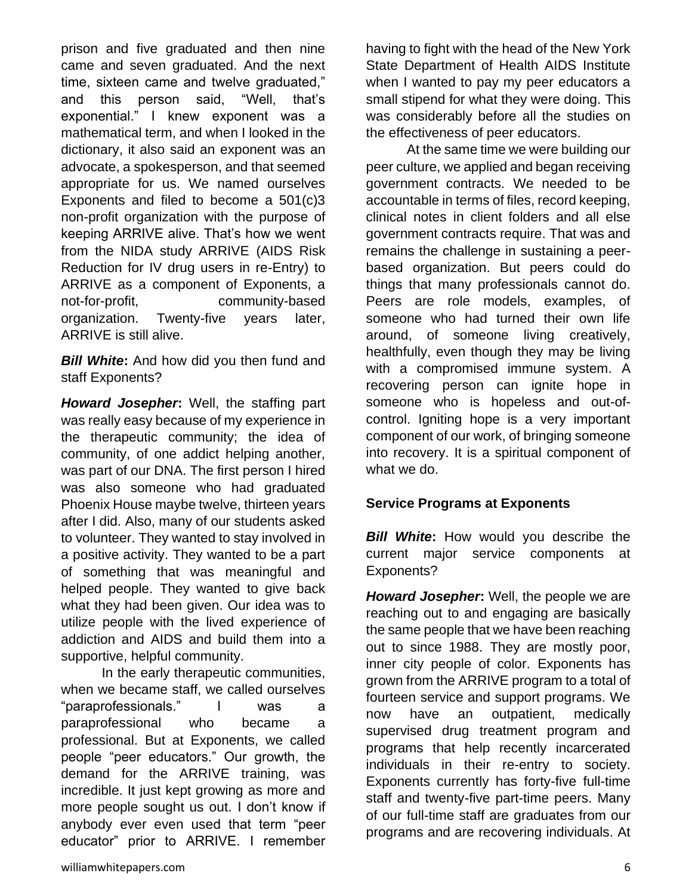prison and five graduated and then nine came and seven graduated. And the next time, sixteen came and twelve graduated," and this person said, "Well, that's exponential." I knew exponent was a mathematical term, and when I looked in the dictionary, it also said an exponent was an advocate, a spokesperson, and that seemed appropriate for us. We named ourselves Exponents and filed to become a 501(c)3 non-profit organization with the purpose of keeping ARRIVE alive. That's how we went from the NIDA study ARRIVE (AIDS Risk Reduction for IV drug users in re-Entry) to ARRIVE as a component of Exponents, a not-for-profit, community-based organization. Twenty-five years later, ARRIVE is still alive.

*Bill White***:** And how did you then fund and staff Exponents?

*Howard Josepher***:** Well, the staffing part was really easy because of my experience in the therapeutic community; the idea of community, of one addict helping another, was part of our DNA. The first person I hired was also someone who had graduated Phoenix House maybe twelve, thirteen years after I did. Also, many of our students asked to volunteer. They wanted to stay involved in a positive activity. They wanted to be a part of something that was meaningful and helped people. They wanted to give back what they had been given. Our idea was to utilize people with the lived experience of addiction and AIDS and build them into a supportive, helpful community.

In the early therapeutic communities, when we became staff, we called ourselves "paraprofessionals." I was a paraprofessional who became a professional. But at Exponents, we called people "peer educators." Our growth, the demand for the ARRIVE training, was incredible. It just kept growing as more and more people sought us out. I don't know if anybody ever even used that term "peer educator" prior to ARRIVE. I remember having to fight with the head of the New York State Department of Health AIDS Institute when I wanted to pay my peer educators a small stipend for what they were doing. This was considerably before all the studies on the effectiveness of peer educators.

At the same time we were building our peer culture, we applied and began receiving government contracts. We needed to be accountable in terms of files, record keeping, clinical notes in client folders and all else government contracts require. That was and remains the challenge in sustaining a peerbased organization. But peers could do things that many professionals cannot do. Peers are role models, examples, of someone who had turned their own life around, of someone living creatively, healthfully, even though they may be living with a compromised immune system. A recovering person can ignite hope in someone who is hopeless and out-ofcontrol. Igniting hope is a very important component of our work, of bringing someone into recovery. It is a spiritual component of what we do.

## **Service Programs at Exponents**

*Bill White***:** How would you describe the current major service components at Exponents?

*Howard Josepher***:** Well, the people we are reaching out to and engaging are basically the same people that we have been reaching out to since 1988. They are mostly poor, inner city people of color. Exponents has grown from the ARRIVE program to a total of fourteen service and support programs. We now have an outpatient, medically supervised drug treatment program and programs that help recently incarcerated individuals in their re-entry to society. Exponents currently has forty-five full-time staff and twenty-five part-time peers. Many of our full-time staff are graduates from our programs and are recovering individuals. At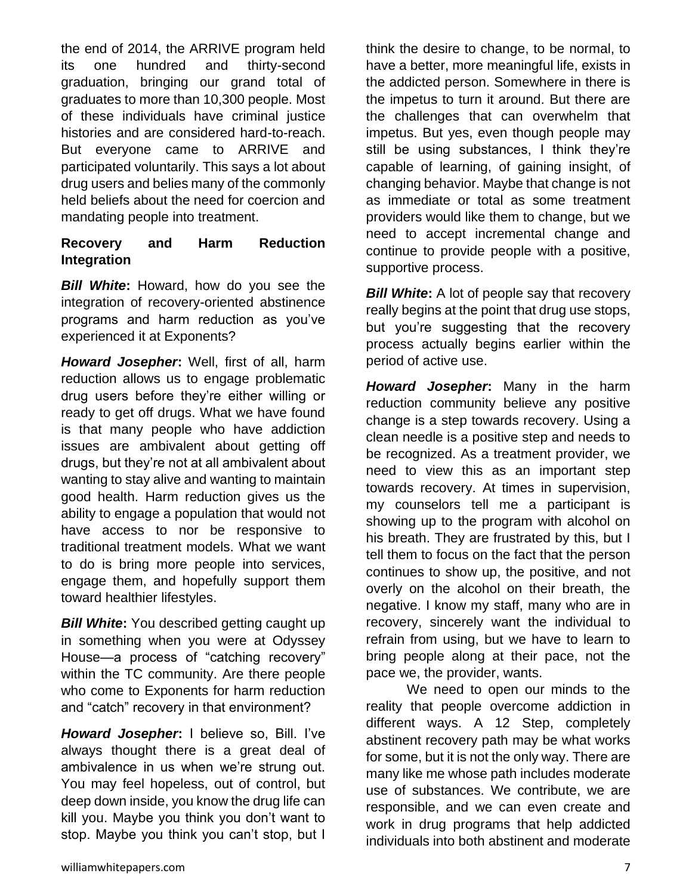the end of 2014, the ARRIVE program held its one hundred and thirty-second graduation, bringing our grand total of graduates to more than 10,300 people. Most of these individuals have criminal justice histories and are considered hard-to-reach. But everyone came to ARRIVE and participated voluntarily. This says a lot about drug users and belies many of the commonly held beliefs about the need for coercion and mandating people into treatment.

# **Recovery and Harm Reduction Integration**

*Bill White***:** Howard, how do you see the integration of recovery-oriented abstinence programs and harm reduction as you've experienced it at Exponents?

*Howard Josepher***:** Well, first of all, harm reduction allows us to engage problematic drug users before they're either willing or ready to get off drugs. What we have found is that many people who have addiction issues are ambivalent about getting off drugs, but they're not at all ambivalent about wanting to stay alive and wanting to maintain good health. Harm reduction gives us the ability to engage a population that would not have access to nor be responsive to traditional treatment models. What we want to do is bring more people into services, engage them, and hopefully support them toward healthier lifestyles.

**Bill White:** You described getting caught up in something when you were at Odyssey House—a process of "catching recovery" within the TC community. Are there people who come to Exponents for harm reduction and "catch" recovery in that environment?

*Howard Josepher***:** I believe so, Bill. I've always thought there is a great deal of ambivalence in us when we're strung out. You may feel hopeless, out of control, but deep down inside, you know the drug life can kill you. Maybe you think you don't want to stop. Maybe you think you can't stop, but I

think the desire to change, to be normal, to have a better, more meaningful life, exists in the addicted person. Somewhere in there is the impetus to turn it around. But there are the challenges that can overwhelm that impetus. But yes, even though people may still be using substances, I think they're capable of learning, of gaining insight, of changing behavior. Maybe that change is not as immediate or total as some treatment providers would like them to change, but we need to accept incremental change and continue to provide people with a positive, supportive process.

**Bill White:** A lot of people say that recovery really begins at the point that drug use stops, but you're suggesting that the recovery process actually begins earlier within the period of active use.

*Howard Josepher***:** Many in the harm reduction community believe any positive change is a step towards recovery. Using a clean needle is a positive step and needs to be recognized. As a treatment provider, we need to view this as an important step towards recovery. At times in supervision, my counselors tell me a participant is showing up to the program with alcohol on his breath. They are frustrated by this, but I tell them to focus on the fact that the person continues to show up, the positive, and not overly on the alcohol on their breath, the negative. I know my staff, many who are in recovery, sincerely want the individual to refrain from using, but we have to learn to bring people along at their pace, not the pace we, the provider, wants.

We need to open our minds to the reality that people overcome addiction in different ways. A 12 Step, completely abstinent recovery path may be what works for some, but it is not the only way. There are many like me whose path includes moderate use of substances. We contribute, we are responsible, and we can even create and work in drug programs that help addicted individuals into both abstinent and moderate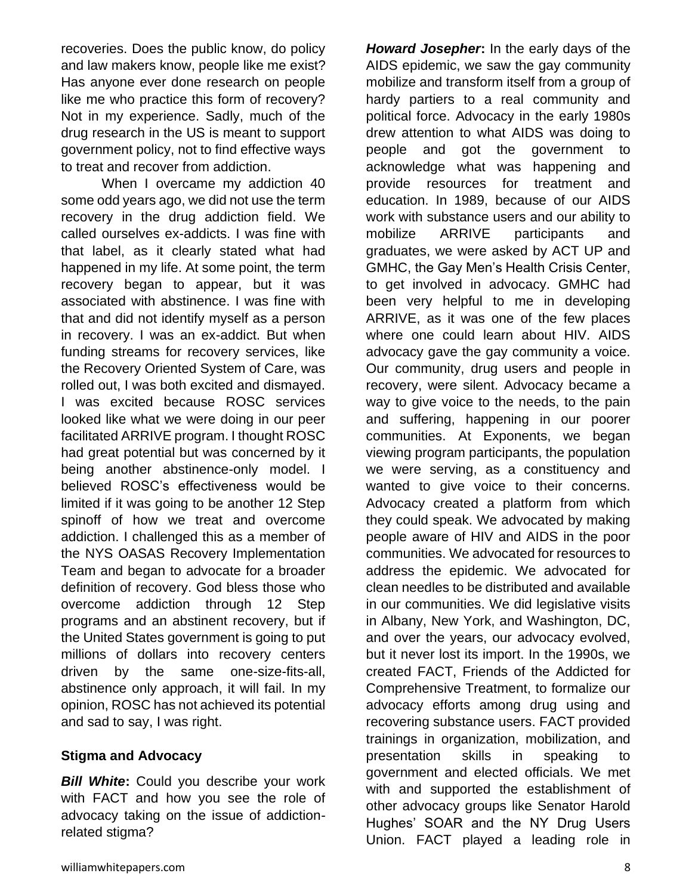recoveries. Does the public know, do policy and law makers know, people like me exist? Has anyone ever done research on people like me who practice this form of recovery? Not in my experience. Sadly, much of the drug research in the US is meant to support government policy, not to find effective ways to treat and recover from addiction.

When I overcame my addiction 40 some odd years ago, we did not use the term recovery in the drug addiction field. We called ourselves ex-addicts. I was fine with that label, as it clearly stated what had happened in my life. At some point, the term recovery began to appear, but it was associated with abstinence. I was fine with that and did not identify myself as a person in recovery. I was an ex-addict. But when funding streams for recovery services, like the Recovery Oriented System of Care, was rolled out, I was both excited and dismayed. I was excited because ROSC services looked like what we were doing in our peer facilitated ARRIVE program. I thought ROSC had great potential but was concerned by it being another abstinence-only model. I believed ROSC's effectiveness would be limited if it was going to be another 12 Step spinoff of how we treat and overcome addiction. I challenged this as a member of the NYS OASAS Recovery Implementation Team and began to advocate for a broader definition of recovery. God bless those who overcome addiction through 12 Step programs and an abstinent recovery, but if the United States government is going to put millions of dollars into recovery centers driven by the same one-size-fits-all, abstinence only approach, it will fail. In my opinion, ROSC has not achieved its potential and sad to say, I was right.

#### **Stigma and Advocacy**

*Bill White***:** Could you describe your work with FACT and how you see the role of advocacy taking on the issue of addictionrelated stigma?

*Howard Josepher***:** In the early days of the AIDS epidemic, we saw the gay community mobilize and transform itself from a group of hardy partiers to a real community and political force. Advocacy in the early 1980s drew attention to what AIDS was doing to people and got the government to acknowledge what was happening and provide resources for treatment and education. In 1989, because of our AIDS work with substance users and our ability to mobilize ARRIVE participants and graduates, we were asked by ACT UP and GMHC, the Gay Men's Health Crisis Center, to get involved in advocacy. GMHC had been very helpful to me in developing ARRIVE, as it was one of the few places where one could learn about HIV. AIDS advocacy gave the gay community a voice. Our community, drug users and people in recovery, were silent. Advocacy became a way to give voice to the needs, to the pain and suffering, happening in our poorer communities. At Exponents, we began viewing program participants, the population we were serving, as a constituency and wanted to give voice to their concerns. Advocacy created a platform from which they could speak. We advocated by making people aware of HIV and AIDS in the poor communities. We advocated for resources to address the epidemic. We advocated for clean needles to be distributed and available in our communities. We did legislative visits in Albany, New York, and Washington, DC, and over the years, our advocacy evolved, but it never lost its import. In the 1990s, we created FACT, Friends of the Addicted for Comprehensive Treatment, to formalize our advocacy efforts among drug using and recovering substance users. FACT provided trainings in organization, mobilization, and presentation skills in speaking to government and elected officials. We met with and supported the establishment of other advocacy groups like Senator Harold Hughes' SOAR and the NY Drug Users Union. FACT played a leading role in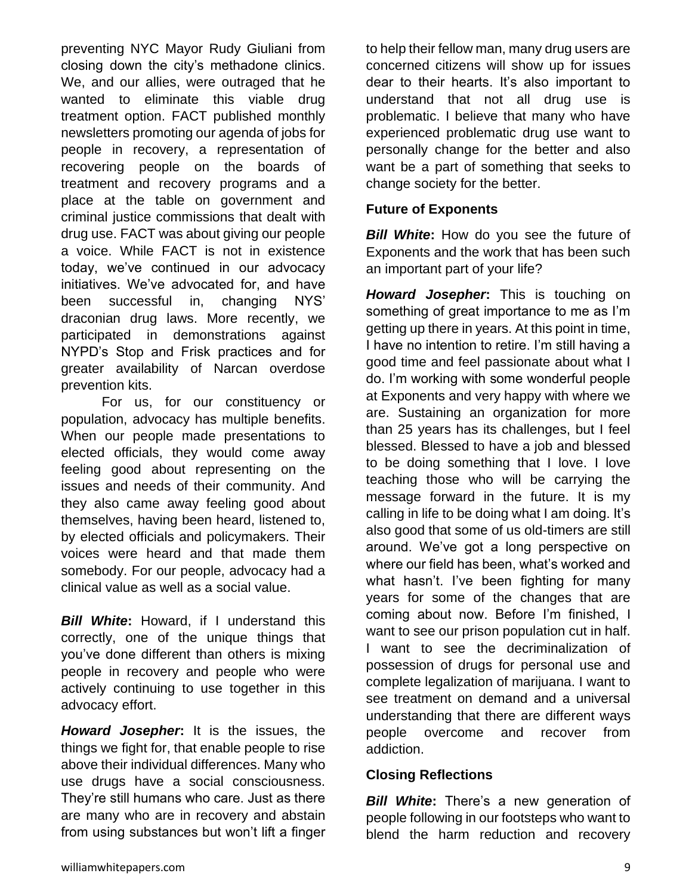preventing NYC Mayor Rudy Giuliani from closing down the city's methadone clinics. We, and our allies, were outraged that he wanted to eliminate this viable drug treatment option. FACT published monthly newsletters promoting our agenda of jobs for people in recovery, a representation of recovering people on the boards of treatment and recovery programs and a place at the table on government and criminal justice commissions that dealt with drug use. FACT was about giving our people a voice. While FACT is not in existence today, we've continued in our advocacy initiatives. We've advocated for, and have been successful in, changing NYS' draconian drug laws. More recently, we participated in demonstrations against NYPD's Stop and Frisk practices and for greater availability of Narcan overdose prevention kits.

For us, for our constituency or population, advocacy has multiple benefits. When our people made presentations to elected officials, they would come away feeling good about representing on the issues and needs of their community. And they also came away feeling good about themselves, having been heard, listened to, by elected officials and policymakers. Their voices were heard and that made them somebody. For our people, advocacy had a clinical value as well as a social value.

*Bill White***:** Howard, if I understand this correctly, one of the unique things that you've done different than others is mixing people in recovery and people who were actively continuing to use together in this advocacy effort.

*Howard Josepher***:** It is the issues, the things we fight for, that enable people to rise above their individual differences. Many who use drugs have a social consciousness. They're still humans who care. Just as there are many who are in recovery and abstain from using substances but won't lift a finger

to help their fellow man, many drug users are concerned citizens will show up for issues dear to their hearts. It's also important to understand that not all drug use is problematic. I believe that many who have experienced problematic drug use want to personally change for the better and also want be a part of something that seeks to change society for the better.

### **Future of Exponents**

*Bill White:* How do you see the future of Exponents and the work that has been such an important part of your life?

*Howard Josepher***:** This is touching on something of great importance to me as I'm getting up there in years. At this point in time, I have no intention to retire. I'm still having a good time and feel passionate about what I do. I'm working with some wonderful people at Exponents and very happy with where we are. Sustaining an organization for more than 25 years has its challenges, but I feel blessed. Blessed to have a job and blessed to be doing something that I love. I love teaching those who will be carrying the message forward in the future. It is my calling in life to be doing what I am doing. It's also good that some of us old-timers are still around. We've got a long perspective on where our field has been, what's worked and what hasn't. I've been fighting for many years for some of the changes that are coming about now. Before I'm finished, I want to see our prison population cut in half. I want to see the decriminalization of possession of drugs for personal use and complete legalization of marijuana. I want to see treatment on demand and a universal understanding that there are different ways people overcome and recover from addiction.

#### **Closing Reflections**

*Bill White***:** There's a new generation of people following in our footsteps who want to blend the harm reduction and recovery